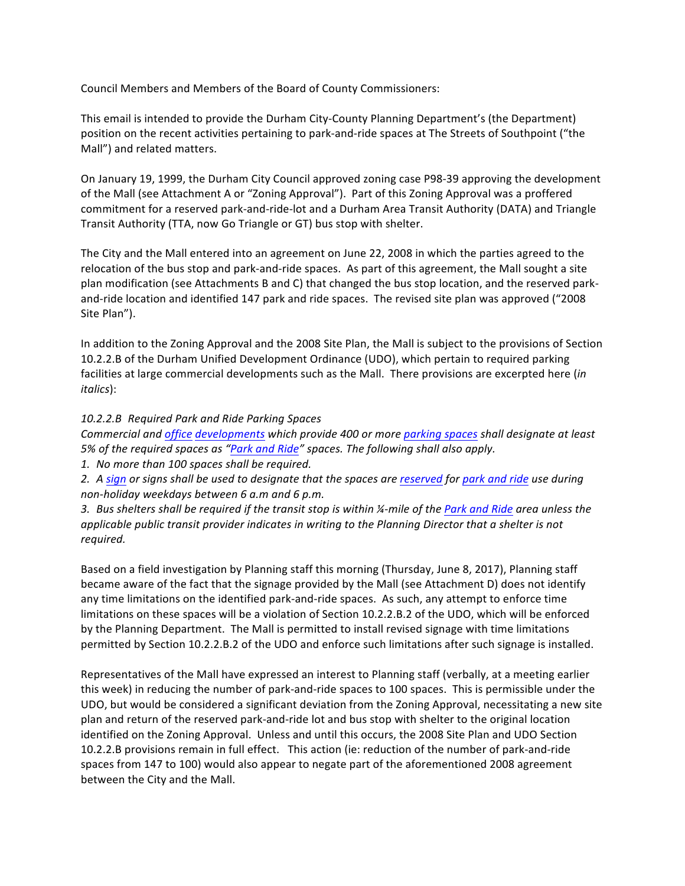Council Members and Members of the Board of County Commissioners:

This email is intended to provide the Durham City-County Planning Department's (the Department) position on the recent activities pertaining to park-and-ride spaces at The Streets of Southpoint ("the Mall") and related matters.

On January 19, 1999, the Durham City Council approved zoning case P98-39 approving the development of the Mall (see Attachment A or "Zoning Approval"). Part of this Zoning Approval was a proffered commitment for a reserved park-and-ride-lot and a Durham Area Transit Authority (DATA) and Triangle Transit Authority (TTA, now Go Triangle or GT) bus stop with shelter.

The City and the Mall entered into an agreement on June 22, 2008 in which the parties agreed to the relocation of the bus stop and park-and-ride spaces. As part of this agreement, the Mall sought a site plan modification (see Attachments B and C) that changed the bus stop location, and the reserved parkand-ride location and identified 147 park and ride spaces. The revised site plan was approved ("2008 Site Plan").

In addition to the Zoning Approval and the 2008 Site Plan, the Mall is subject to the provisions of Section 10.2.2.B of the Durham Unified Development Ordinance (UDO), which pertain to required parking facilities at large commercial developments such as the Mall. There provisions are excerpted here *(in italics*):

## *10.2.2.B Required Park and Ride Parking Spaces*

*Commercial and office developments which provide 400 or more parking spaces shall designate at least* 5% of the required spaces as "Park and Ride" spaces. The following shall also apply.

1. No more than 100 spaces shall be required.

2. A sign or signs shall be used to designate that the spaces are reserved for park and ride use during *non-holiday weekdays between 6 a.m and 6 p.m.*

3. Bus shelters shall be required if the transit stop is within ¼-mile of the Park and Ride area unless the *applicable public transit provider indicates in writing to the Planning Director that a shelter is not required.*

Based on a field investigation by Planning staff this morning (Thursday, June 8, 2017), Planning staff became aware of the fact that the signage provided by the Mall (see Attachment D) does not identify any time limitations on the identified park-and-ride spaces. As such, any attempt to enforce time limitations on these spaces will be a violation of Section 10.2.2.B.2 of the UDO, which will be enforced by the Planning Department. The Mall is permitted to install revised signage with time limitations permitted by Section 10.2.2.B.2 of the UDO and enforce such limitations after such signage is installed.

Representatives of the Mall have expressed an interest to Planning staff (verbally, at a meeting earlier this week) in reducing the number of park-and-ride spaces to 100 spaces. This is permissible under the UDO, but would be considered a significant deviation from the Zoning Approval, necessitating a new site plan and return of the reserved park-and-ride lot and bus stop with shelter to the original location identified on the Zoning Approval. Unless and until this occurs, the 2008 Site Plan and UDO Section 10.2.2.B provisions remain in full effect. This action (ie: reduction of the number of park-and-ride spaces from 147 to 100) would also appear to negate part of the aforementioned 2008 agreement between the City and the Mall.